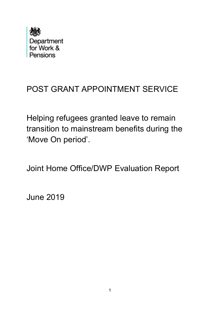

# POST GRANT APPOINTMENT SERVICE

Helping refugees granted leave to remain transition to mainstream benefits during the 'Move On period'.

Joint Home Office/DWP Evaluation Report

June 2019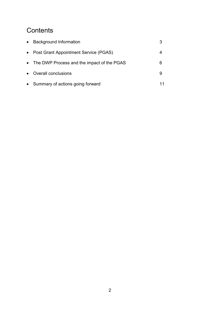## **Contents**

| $\bullet$ | <b>Background Information</b>                |   |
|-----------|----------------------------------------------|---|
| $\bullet$ | Post Grant Appointment Service (PGAS)        |   |
|           | • The DWP Process and the impact of the PGAS | 6 |
| $\bullet$ | <b>Overall conclusions</b>                   |   |
|           | • Summary of actions going forward           |   |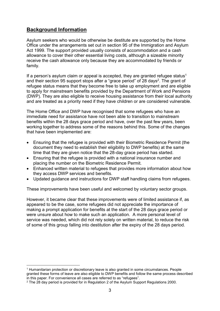## Background Information

-

Asylum seekers who would be otherwise be destitute are supported by the Home Office under the arrangements set out in section 95 of the Immigration and Asylum Act 1999. The support provided usually consists of accommodation and a cash allowance to cover their other essential living costs, although a sizeable minority receive the cash allowance only because they are accommodated by friends or family.

If a person's asylum claim or appeal is accepted, they are granted refugee status<sup>1</sup> and their section 95 support stops after a "grace period" of 28 days<sup>2</sup>. The grant of refugee status means that they become free to take up employment and are eligible to apply for mainstream benefits provided by the Department of Work and Pensions (DWP). They are also eligible to receive housing assistance from their local authority and are treated as a priority need if they have children or are considered vulnerable.

The Home Office and DWP have recognised that some refugees who have an immediate need for assistance have not been able to transition to mainstream benefits within the 28 days grace period and have, over the past few years, been working together to address some of the reasons behind this. Some of the changes that have been implemented are:

- Ensuring that the refugee is provided with their Biometric Residence Permit (the document they need to establish their eligibility to DWP benefits) at the same time that they are given notice that the 28-day grace period has started.
- Ensuring that the refugee is provided with a national insurance number and placing the number on the Biometric Residence Permit.
- Enhanced written material to refugees that provides more information about how they access DWP services and benefits.
- Updated guidance and instructions for DWP staff handling claims from refugees.

These improvements have been useful and welcomed by voluntary sector groups.

However, it became clear that these improvements were of limited assistance if, as appeared to be the case, some refugees did not appreciate the importance of making a prompt application for benefits at the start of the 28 days grace period or were unsure about how to make such an application. A more personal level of service was needed, which did not rely solely on written material, to reduce the risk of some of this group falling into destitution after the expiry of the 28 days period.

<sup>1</sup> Humanitarian protection or discretionary leave is also granted in some circumstances. People granted these forms of leave are also eligible to DWP benefits and follow the same process described in this paper. For convenience all cases are referred to as "refugees".

 $2$  The 28 day period is provided for in Regulation 2 of the Asylum Support Regulations 2000.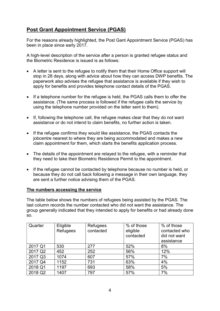## Post Grant Appointment Service (PGAS)

For the reasons already highlighted, the Post Gant Appointment Service (PGAS) has been in place since early 2017.

A high-level description of the service after a person is granted refugee status and the Biometric Residence is issued is as follows:

- A letter is sent to the refugee to notify them that their Home Office support will stop in 28 days, along with advice about how they can access DWP benefits. The paperwork also advises the refugee that assistance is available if they wish to apply for benefits and provides telephone contact details of the PGAS.
- If a telephone number for the refugee is held, the PGAS calls them to offer the assistance. (The same process is followed if the refugee calls the service by using the telephone number provided on the letter sent to them).
- If, following the telephone call, the refugee makes clear that they do not want assistance or do not intend to claim benefits, no further action is taken.
- If the refugee confirms they would like assistance, the PGAS contacts the jobcentre nearest to where they are being accommodated and makes a new claim appointment for them, which starts the benefits application process.
- The details of the appointment are relayed to the refugee, with a reminder that they need to take their Biometric Residence Permit to the appointment.
- If the refugee cannot be contacted by telephone because no number is held, or because they do not call back following a message in their own language, they are sent a further notice advising them of the PGAS.

#### The numbers accessing the service

The table below shows the numbers of refugees being assisted by the PGAS. The last column records the number contacted who did not want the assistance. The group generally indicated that they intended to apply for benefits or had already done so.

| Quarter | Eligible<br>Refugees | Refugees<br>contacted | % of those<br>eligible<br>contacted | % of those<br>contacted who<br>did not want<br>assistance |
|---------|----------------------|-----------------------|-------------------------------------|-----------------------------------------------------------|
| 2017 Q1 | 530                  | 277                   | 52%                                 | 8%                                                        |
| 2017 Q2 | 452                  | 252                   | 56%                                 | 12%                                                       |
| 2017 Q3 | 1074                 | 607                   | 57%                                 | 7%                                                        |
| 2017 Q4 | 1152                 | 731                   | 63%                                 | 4%                                                        |
| 2018 Q1 | 1197                 | 693                   | 58%                                 | 5%                                                        |
| 2018 Q2 | 1407                 | 797                   | 57%                                 | 7%                                                        |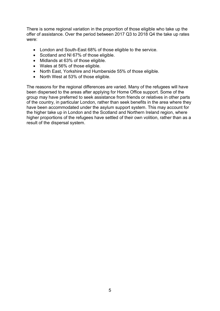There is some regional variation in the proportion of those eligible who take up the offer of assistance. Over the period between 2017 Q3 to 2018 Q4 the take up rates were:

- London and South-East 68% of those eligible to the service.
- Scotland and NI 67% of those eligible.
- Midlands at 63% of those eligible.
- Wales at 56% of those eligible.
- North East, Yorkshire and Humberside 55% of those eligible.
- North West at 53% of those eligible.

The reasons for the regional differences are varied. Many of the refugees will have been dispersed to the areas after applying for Home Office support. Some of the group may have preferred to seek assistance from friends or relatives in other parts of the country, in particular London, rather than seek benefits in the area where they have been accommodated under the asylum support system. This may account for the higher take up in London and the Scotland and Northern Ireland region, where higher proportions of the refugees have settled of their own volition, rather than as a result of the dispersal system.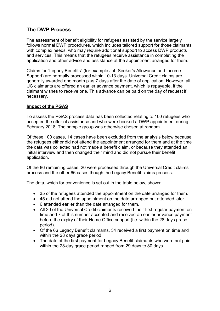## The DWP Process

The assessment of benefit eligibility for refugees assisted by the service largely follows normal DWP procedures, which includes tailored support for those claimants with complex needs, who may require additional support to access DWP products and services. This means that the refugees receive assistance in completing the application and other advice and assistance at the appointment arranged for them.

Claims for "Legacy Benefits" (for example Job Seeker's Allowance and Income Support) are normally processed within 10-13 days. Universal Credit claims are generally awarded one month plus 7 days after the date of application. However, all UC claimants are offered an earlier advance payment, which is repayable, if the claimant wishes to receive one. This advance can be paid on the day of request if necessary.

#### Impact of the PGAS

To assess the PGAS process data has been collected relating to 100 refugees who accepted the offer of assistance and who were booked a DWP appointment during February 2018. The sample group was otherwise chosen at random.

Of these 100 cases, 14 cases have been excluded from the analysis below because the refugees either did not attend the appointment arranged for them and at the time the data was collected had not made a benefit claim, or because they attended an initial interview and then changed their mind and did not pursue their benefit application.

Of the 86 remaining cases, 20 were processed through the Universal Credit claims process and the other 66 cases though the Legacy Benefit claims process.

The data, which for convenience is set out in the table below, shows:

- 35 of the refugees attended the appointment on the date arranged for them.
- 45 did not attend the appointment on the date arranged but attended later.
- 6 attended earlier than the date arranged for them.
- All 20 of the Universal Credit claimants received their first regular payment on time and 7 of this number accepted and received an earlier advance payment before the expiry of their Home Office support (i.e. within the 28 days grace period).
- Of the 66 Legacy Benefit claimants, 34 received a first payment on time and within the 28 days grace period.
- The date of the first payment for Legacy Benefit claimants who were not paid within the 28-day grace period ranged from 29 days to 80 days.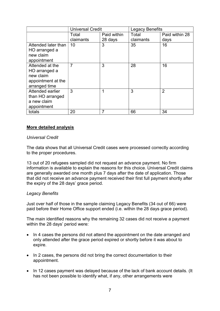|                     | <b>Universal Credit</b> |             | <b>Legacy Benefits</b> |                |
|---------------------|-------------------------|-------------|------------------------|----------------|
|                     | Total                   | Paid within | Total                  | Paid within 28 |
|                     | claimants               | 28 days     | claimants              | days           |
| Attended later than | 10                      | 3           | 35                     | 16             |
| HO arranged a       |                         |             |                        |                |
| new claim           |                         |             |                        |                |
| appointment         |                         |             |                        |                |
| Attended at the     | $\overline{7}$          | 3           | 28                     | 16             |
| HO arranged a       |                         |             |                        |                |
| new claim           |                         |             |                        |                |
| appointment at the  |                         |             |                        |                |
| arranged time       |                         |             |                        |                |
| Attended earlier    | 3                       | 1           | 3                      | $\overline{2}$ |
| than HO arranged    |                         |             |                        |                |
| a new claim         |                         |             |                        |                |
| appointment         |                         |             |                        |                |
| totals              | 20                      | 7           | 66                     | 34             |

#### More detailed analysis

#### Universal Credit

The data shows that all Universal Credit cases were processed correctly according to the proper procedures.

13 out of 20 refugees sampled did not request an advance payment. No firm information is available to explain the reasons for this choice. Universal Credit claims are generally awarded one month plus 7 days after the date of application. Those that did not receive an advance payment received their first full payment shortly after the expiry of the 28 days' grace period.

#### Legacy Benefits

Just over half of those in the sample claiming Legacy Benefits (34 out of 66) were paid before their Home Office support ended (i.e. within the 28 days grace period).

The main identified reasons why the remaining 32 cases did not receive a payment within the 28 days' period were:

- In 4 cases the persons did not attend the appointment on the date arranged and only attended after the grace period expired or shortly before it was about to expire.
- In 2 cases, the persons did not bring the correct documentation to their appointment.
- In 12 cases payment was delayed because of the lack of bank account details. (It has not been possible to identify what, if any, other arrangements were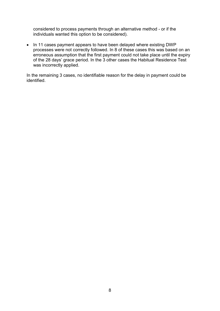considered to process payments through an alternative method - or if the individuals wanted this option to be considered).

• In 11 cases payment appears to have been delayed where existing DWP processes were not correctly followed. In 8 of these cases this was based on an erroneous assumption that the first payment could not take place until the expiry of the 28 days' grace period. In the 3 other cases the Habitual Residence Test was incorrectly applied.

In the remaining 3 cases, no identifiable reason for the delay in payment could be identified.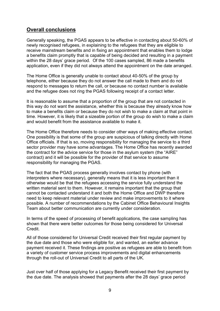### Overall conclusions

Generally speaking, the PGAS appears to be effective in contacting about 50-60% of newly recognised refugees, in explaining to the refugees that they are eligible to receive mainstream benefits and in fixing an appointment that enables them to lodge a benefits claim promptly that is capable of being decided and resulting in a payment within the 28 days' grace period. Of the 100 cases sampled, 86 made a benefits application, even if they did not always attend the appointment on the date arranged.

The Home Office is generally unable to contact about 40-50% of the group by telephone, either because they do not answer the call made to them and do not respond to messages to return the call, or because no contact number is available and the refugee does not ring the PGAS following receipt of a contact letter.

It is reasonable to assume that a proportion of the group that are not contacted in this way do not want the assistance, whether this is because they already know how to make a benefits claim or because they do not wish to make a claim at that point in time. However, it is likely that a sizeable portion of the group do wish to make a claim and would benefit from the assistance available to make it.

The Home Office therefore needs to consider other ways of making effective contact. One possibility is that some of the group are suspicious of talking directly with Home Office officials. If that is so, moving responsibility for managing the service to a third sector provider may have some advantages. The Home Office has recently awarded the contract for the advice service for those in the asylum system (the "AIRE" contract) and it will be possible for the provider of that service to assume responsibility for managing the PGAS.

The fact that the PGAS process generally involves contact by phone (with interpreters where necessary), generally means that it is less important than it otherwise would be that the refugees accessing the service fully understand the written material sent to them. However, it remains important that the group that cannot be contacted understand it and both the Home Office and DWP therefore need to keep relevant material under review and make improvements to it where possible. A number of recommendations by the Cabinet Office Behavioural Insights Team about better communication are currently under consideration.

In terms of the speed of processing of benefit applications, the case sampling has shown that there were better outcomes for those being considered for Universal **Credit** 

All of those considered for Universal Credit received their first regular payment by the due date and those who were eligible for, and wanted, an earlier advance payment received it. These findings are positive as refugees are able to benefit from a variety of customer service process improvements and digital enhancements through the roll-out of Universal Credit to all parts of the UK.

Just over half of those applying for a Legacy Benefit received their first payment by the due date. The analysis showed that payments after the 28 days' grace period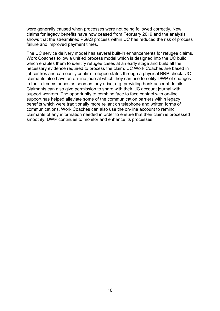were generally caused when processes were not being followed correctly. New claims for legacy benefits have now ceased from February 2019 and the analysis shows that the streamlined PGAS process within UC has reduced the risk of process failure and improved payment times.

The UC service delivery model has several built-in enhancements for refugee claims. Work Coaches follow a unified process model which is designed into the UC build which enables them to identify refugee cases at an early stage and build all the necessary evidence required to process the claim. UC Work Coaches are based in jobcentres and can easily confirm refugee status through a physical BRP check. UC claimants also have an on-line journal which they can use to notify DWP of changes in their circumstances as soon as they arise; e.g. providing bank account details. Claimants can also give permission to share with their UC account journal with support workers. The opportunity to combine face to face contact with on-line support has helped alleviate some of the communication barriers within legacy benefits which were traditionally more reliant on telephone and written forms of communications. Work Coaches can also use the on-line account to remind claimants of any information needed in order to ensure that their claim is processed smoothly. DWP continues to monitor and enhance its processes.